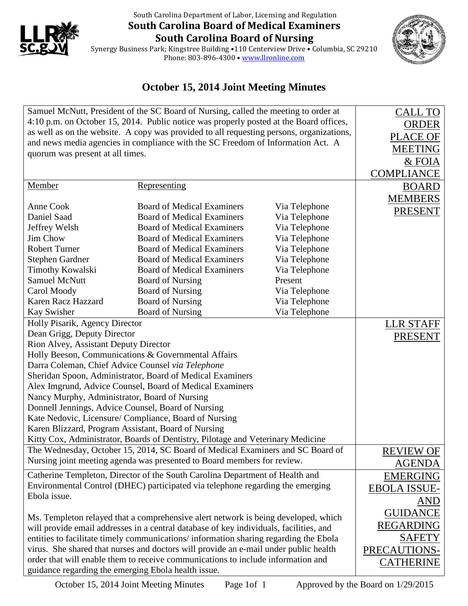

## South Carolina Department of Labor, Licensing and Regulation **South Carolina Board of Medical Examiners South Carolina Board of Nursing**



Synergy Business Park; Kingstree Building •110 Centerview Drive • Columbia, SC 29210 Phone: 803-896-4300 • <u>[www.llronline.com](http://www.llronline.com/)</u>

## **October 15, 2014 Joint Meeting Minutes**

| Samuel McNutt, President of the SC Board of Nursing, called the meeting to order at      | <b>CALL TO</b>                    |               |                   |
|------------------------------------------------------------------------------------------|-----------------------------------|---------------|-------------------|
| 4:10 p.m. on October 15, 2014. Public notice was properly posted at the Board offices,   | <b>ORDER</b>                      |               |                   |
| as well as on the website. A copy was provided to all requesting persons, organizations, | <b>PLACE OF</b>                   |               |                   |
| and news media agencies in compliance with the SC Freedom of Information Act. A          |                                   |               | <b>MEETING</b>    |
| quorum was present at all times.                                                         |                                   |               | & FOIA            |
|                                                                                          |                                   |               | <b>COMPLIANCE</b> |
|                                                                                          |                                   |               |                   |
| Member                                                                                   | Representing                      |               | <b>BOARD</b>      |
| Anne Cook                                                                                | <b>Board of Medical Examiners</b> | Via Telephone | <b>MEMBERS</b>    |
| Daniel Saad                                                                              | <b>Board of Medical Examiners</b> | Via Telephone | <b>PRESENT</b>    |
| Jeffrey Welsh                                                                            | <b>Board of Medical Examiners</b> | Via Telephone |                   |
| Jim Chow                                                                                 | <b>Board of Medical Examiners</b> | Via Telephone |                   |
| <b>Robert Turner</b>                                                                     | <b>Board of Medical Examiners</b> | Via Telephone |                   |
| <b>Stephen Gardner</b>                                                                   | <b>Board of Medical Examiners</b> | Via Telephone |                   |
| <b>Timothy Kowalski</b>                                                                  | <b>Board of Medical Examiners</b> | Via Telephone |                   |
| <b>Samuel McNutt</b>                                                                     | <b>Board of Nursing</b>           | Present       |                   |
| Carol Moody                                                                              | <b>Board of Nursing</b>           | Via Telephone |                   |
| <b>Karen Racz Hazzard</b>                                                                | <b>Board of Nursing</b>           | Via Telephone |                   |
| Kay Swisher                                                                              | <b>Board of Nursing</b>           | Via Telephone |                   |
| Holly Pisarik, Agency Director                                                           | <b>LLR STAFF</b>                  |               |                   |
| Dean Grigg, Deputy Director                                                              | <b>PRESENT</b>                    |               |                   |
| Rion Alvey, Assistant Deputy Director                                                    |                                   |               |                   |
| Holly Beeson, Communications & Governmental Affairs                                      |                                   |               |                   |
| Darra Coleman, Chief Advice Counsel via Telephone                                        |                                   |               |                   |
| Sheridan Spoon, Administrator, Board of Medical Examiners                                |                                   |               |                   |
| Alex Imgrund, Advice Counsel, Board of Medical Examiners                                 |                                   |               |                   |
| Nancy Murphy, Administrator, Board of Nursing                                            |                                   |               |                   |
| Donnell Jennings, Advice Counsel, Board of Nursing                                       |                                   |               |                   |
| Kate Nedovic, Licensure/ Compliance, Board of Nursing                                    |                                   |               |                   |
| Karen Blizzard, Program Assistant, Board of Nursing                                      |                                   |               |                   |
| Kitty Cox, Administrator, Boards of Dentistry, Pilotage and Veterinary Medicine          |                                   |               |                   |
| The Wednesday, October 15, 2014, SC Board of Medical Examiners and SC Board of           |                                   |               | <b>REVIEW OF</b>  |
| Nursing joint meeting agenda was presented to Board members for review.                  |                                   |               | <b>AGENDA</b>     |
| Catherine Templeton, Director of the South Carolina Department of Health and             |                                   |               | <b>EMERGING</b>   |
| Environmental Control (DHEC) participated via telephone regarding the emerging           | <b>EBOLA ISSUE-</b>               |               |                   |
| Ebola issue.                                                                             |                                   |               | <b>AND</b>        |
|                                                                                          |                                   |               | <b>GUIDANCE</b>   |
| Ms. Templeton relayed that a comprehensive alert network is being developed, which       |                                   |               |                   |
| will provide email addresses in a central database of key individuals, facilities, and   | <b>REGARDING</b>                  |               |                   |
| entities to facilitate timely communications/information sharing regarding the Ebola     | <b>SAFETY</b>                     |               |                   |
| virus. She shared that nurses and doctors will provide an e-mail under public health     | PRECAUTIONS-                      |               |                   |
| order that will enable them to receive communications to include information and         |                                   |               | <b>CATHERINE</b>  |
| guidance regarding the emerging Ebola health issue.                                      |                                   |               |                   |